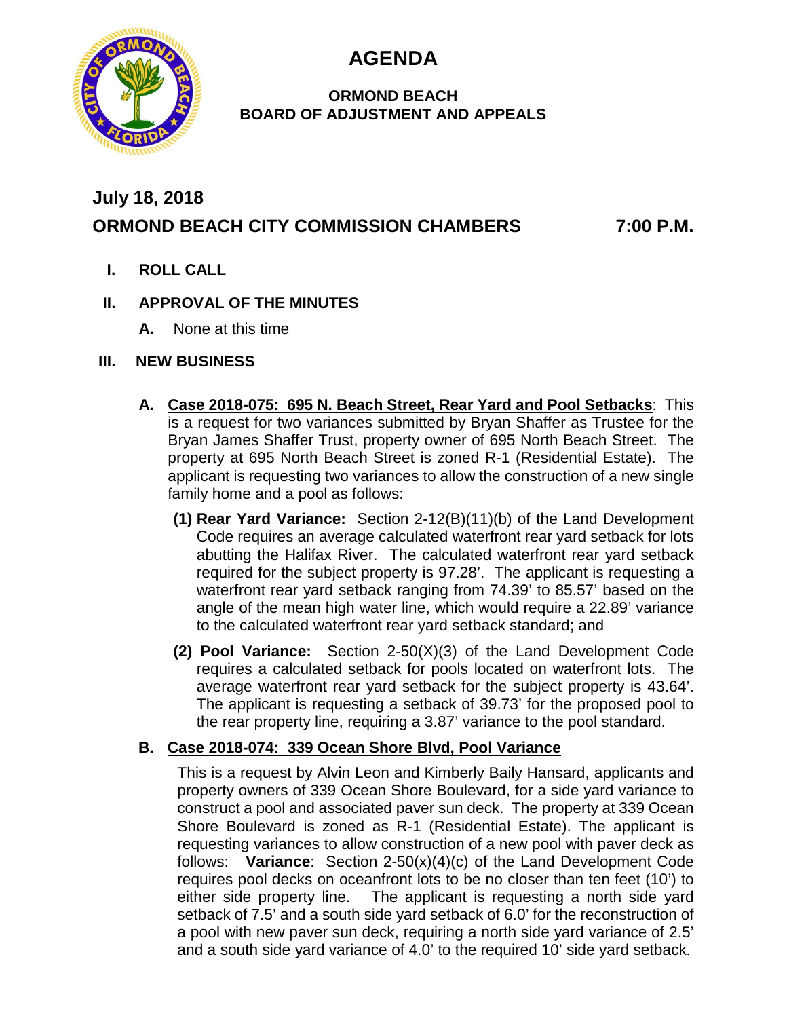**AGENDA**



## **ORMOND BEACH BOARD OF ADJUSTMENT AND APPEALS**

# **July 18, 2018 ORMOND BEACH CITY COMMISSION CHAMBERS 7:00 P.M.**

**I. ROLL CALL**

#### **II. APPROVAL OF THE MINUTES**

**A.** None at this time

#### **III. NEW BUSINESS**

- **A. Case 2018-075: 695 N. Beach Street, Rear Yard and Pool Setbacks**: This is a request for two variances submitted by Bryan Shaffer as Trustee for the Bryan James Shaffer Trust, property owner of 695 North Beach Street. The property at 695 North Beach Street is zoned R-1 (Residential Estate). The applicant is requesting two variances to allow the construction of a new single family home and a pool as follows:
	- **(1) Rear Yard Variance:** Section 2-12(B)(11)(b) of the Land Development Code requires an average calculated waterfront rear yard setback for lots abutting the Halifax River. The calculated waterfront rear yard setback required for the subject property is 97.28'. The applicant is requesting a waterfront rear yard setback ranging from 74.39' to 85.57' based on the angle of the mean high water line, which would require a 22.89' variance to the calculated waterfront rear yard setback standard; and
	- **(2) Pool Variance:** Section 2-50(X)(3) of the Land Development Code requires a calculated setback for pools located on waterfront lots. The average waterfront rear yard setback for the subject property is 43.64'. The applicant is requesting a setback of 39.73' for the proposed pool to the rear property line, requiring a 3.87' variance to the pool standard.

## **B. Case 2018-074: 339 Ocean Shore Blvd, Pool Variance**

This is a request by Alvin Leon and Kimberly Baily Hansard, applicants and property owners of 339 Ocean Shore Boulevard, for a side yard variance to construct a pool and associated paver sun deck. The property at 339 Ocean Shore Boulevard is zoned as R-1 (Residential Estate). The applicant is requesting variances to allow construction of a new pool with paver deck as follows: **Variance**: Section 2-50(x)(4)(c) of the Land Development Code requires pool decks on oceanfront lots to be no closer than ten feet (10') to either side property line. The applicant is requesting a north side yard setback of 7.5' and a south side yard setback of 6.0' for the reconstruction of a pool with new paver sun deck, requiring a north side yard variance of 2.5' and a south side yard variance of 4.0' to the required 10' side yard setback.